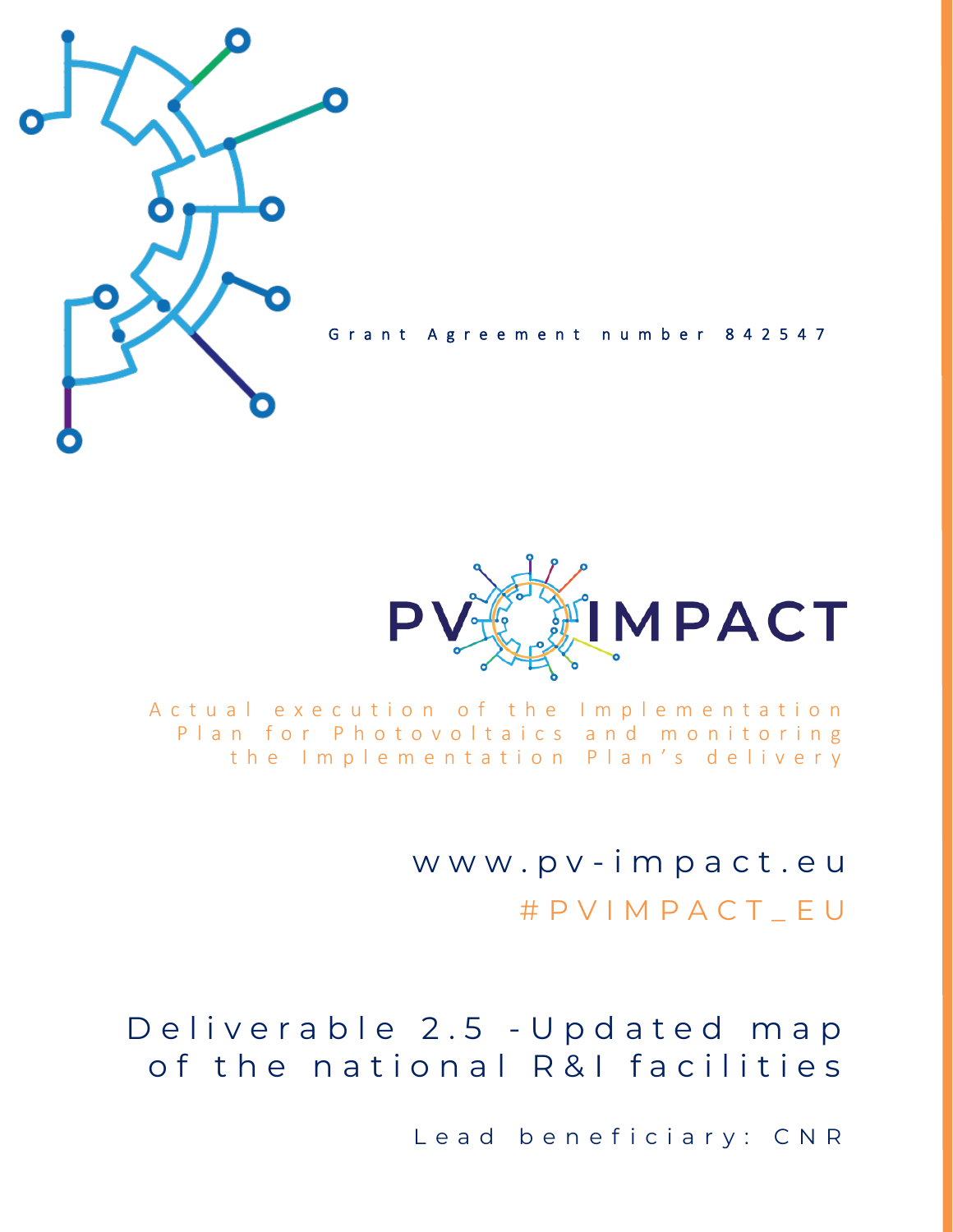

Grant Agreement number 842547



A c t u a l e x e c u t i o n o f t h e Implementation Plan for Photovoltaics and monitoring the Implementation Plan's delivery

> w w w . p v - i m p a c t . e u # P V I M P A C T \_ E U

Deliverable 2.5 - Updated map of the national R&I facilities

Lead beneficiary: CNR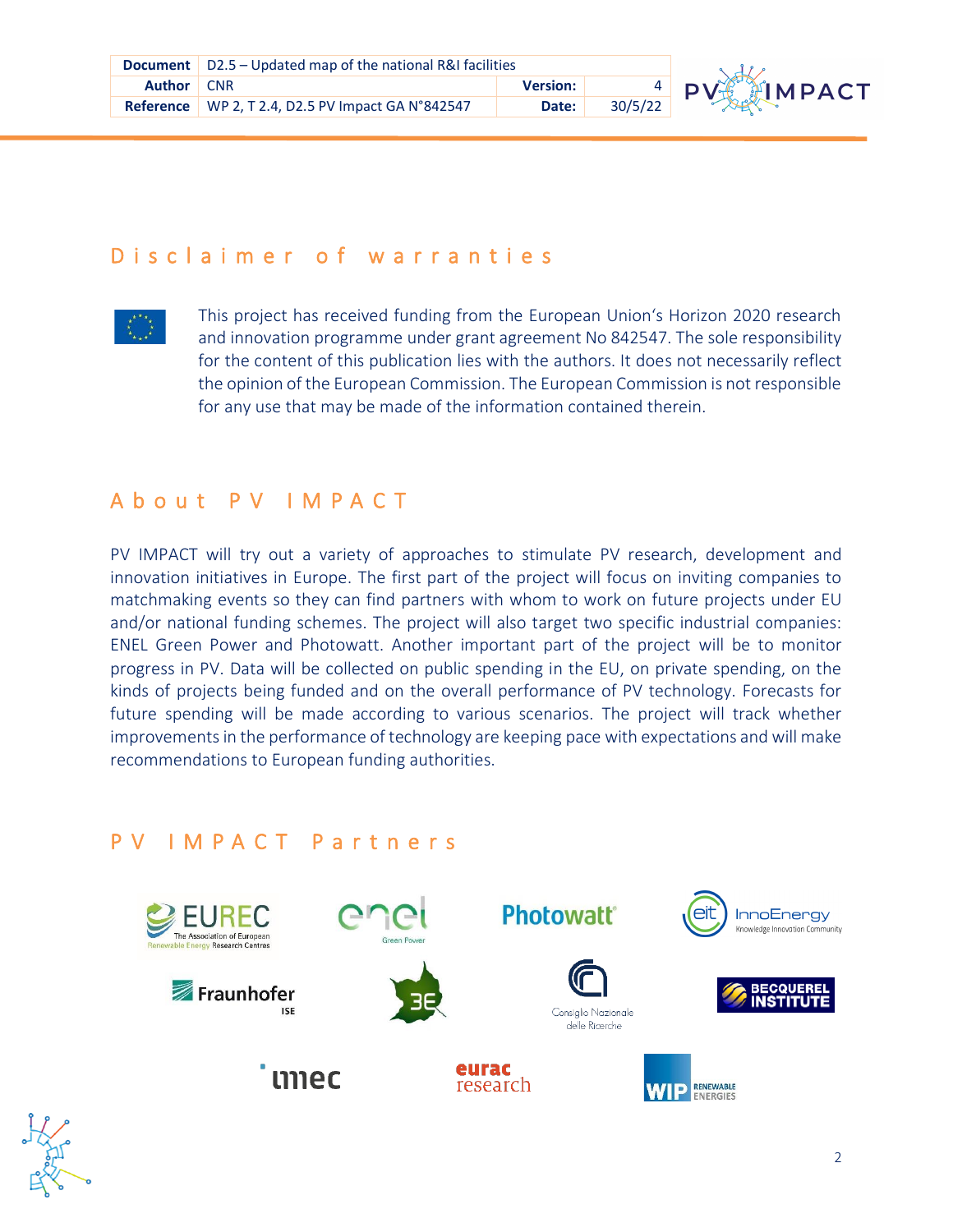

### D is claimer of warranties



This project has received funding from the European Union's Horizon 2020 research and innovation programme under grant agreement No 842547. The sole responsibility for the content of this publication lies with the authors. It does not necessarily reflect the opinion of the European Commission. The European Commission is not responsible for any use that may be made of the information contained therein.

### A b o u t P V I M P A C T

**Re** PV IMPACT will try out a variety of approaches to stimulate PV research, development and future spending will be made according to various scenarios. The project will track whether innovation initiatives in Europe. The first part of the project will focus on inviting companies to matchmaking events so they can find partners with whom to work on future projects under EU and/or national funding schemes. The project will also target two specific industrial companies: ENEL Green Power and Photowatt. Another important part of the project will be to monitor progress in PV. Data will be collected on public spending in the EU, on private spending, on the kinds of projects being funded and on the overall performance of PV technology. Forecasts for improvements in the performance of technology are keeping pace with expectations and will make recommendations to European funding authorities.

### P V I M P A C T P a r t n e r s



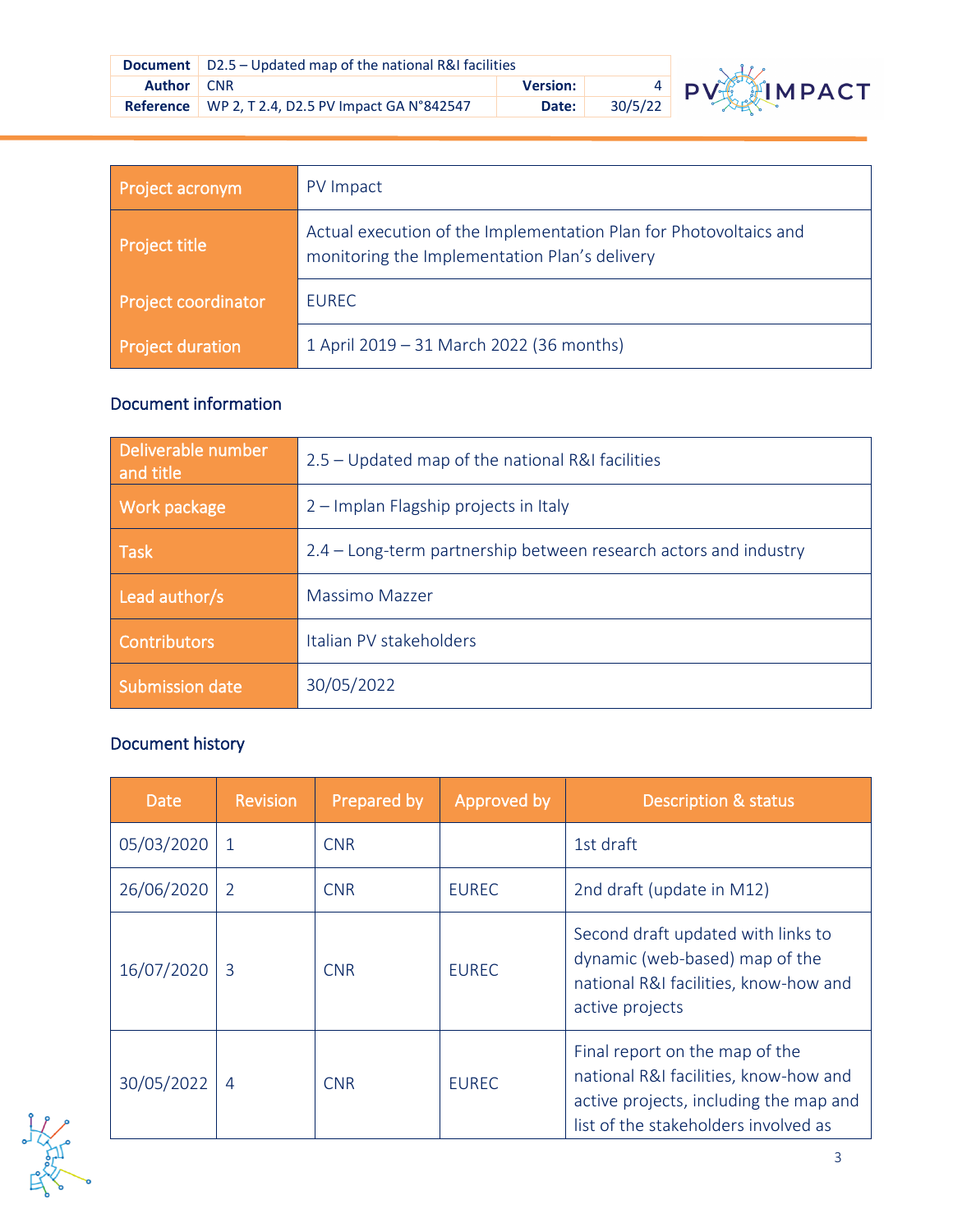|                   | <b>Document</b> $\vert$ D2.5 – Updated map of the national R&I facilities |                 |         |          |
|-------------------|---------------------------------------------------------------------------|-----------------|---------|----------|
| <b>Author</b> CNR |                                                                           | <b>Version:</b> |         | $4$ PV-6 |
|                   | Reference   WP 2, T 2.4, D2.5 PV Impact GA N°842547                       | Date:           | 30/5/22 |          |



| Project acronym            | PV Impact                                                                                                          |
|----------------------------|--------------------------------------------------------------------------------------------------------------------|
| <b>Project title</b>       | Actual execution of the Implementation Plan for Photovoltaics and<br>monitoring the Implementation Plan's delivery |
| <b>Project coordinator</b> | <b>EUREC</b>                                                                                                       |
| <b>Project duration</b>    | 1 April 2019 - 31 March 2022 (36 months)                                                                           |

### Document information

| 2.5 – Updated map of the national R&I facilities                 |
|------------------------------------------------------------------|
| 2 – Implan Flagship projects in Italy                            |
| 2.4 – Long-term partnership between research actors and industry |
| Massimo Mazzer                                                   |
| Italian PV stakeholders                                          |
| 30/05/2022                                                       |
|                                                                  |

#### Document history

| Date       | <b>Revision</b> | Prepared by | Approved by  | <b>Description &amp; status</b>                                                                                                                           |
|------------|-----------------|-------------|--------------|-----------------------------------------------------------------------------------------------------------------------------------------------------------|
| 05/03/2020 | $\mathbf{1}$    | <b>CNR</b>  |              | 1st draft                                                                                                                                                 |
| 26/06/2020 | 2               | <b>CNR</b>  | <b>EUREC</b> | 2nd draft (update in M12)                                                                                                                                 |
| 16/07/2020 | 3               | <b>CNR</b>  | <b>EUREC</b> | Second draft updated with links to<br>dynamic (web-based) map of the<br>national R&I facilities, know-how and<br>active projects                          |
| 30/05/2022 | $\overline{4}$  | <b>CNR</b>  | <b>EUREC</b> | Final report on the map of the<br>national R&I facilities, know-how and<br>active projects, including the map and<br>list of the stakeholders involved as |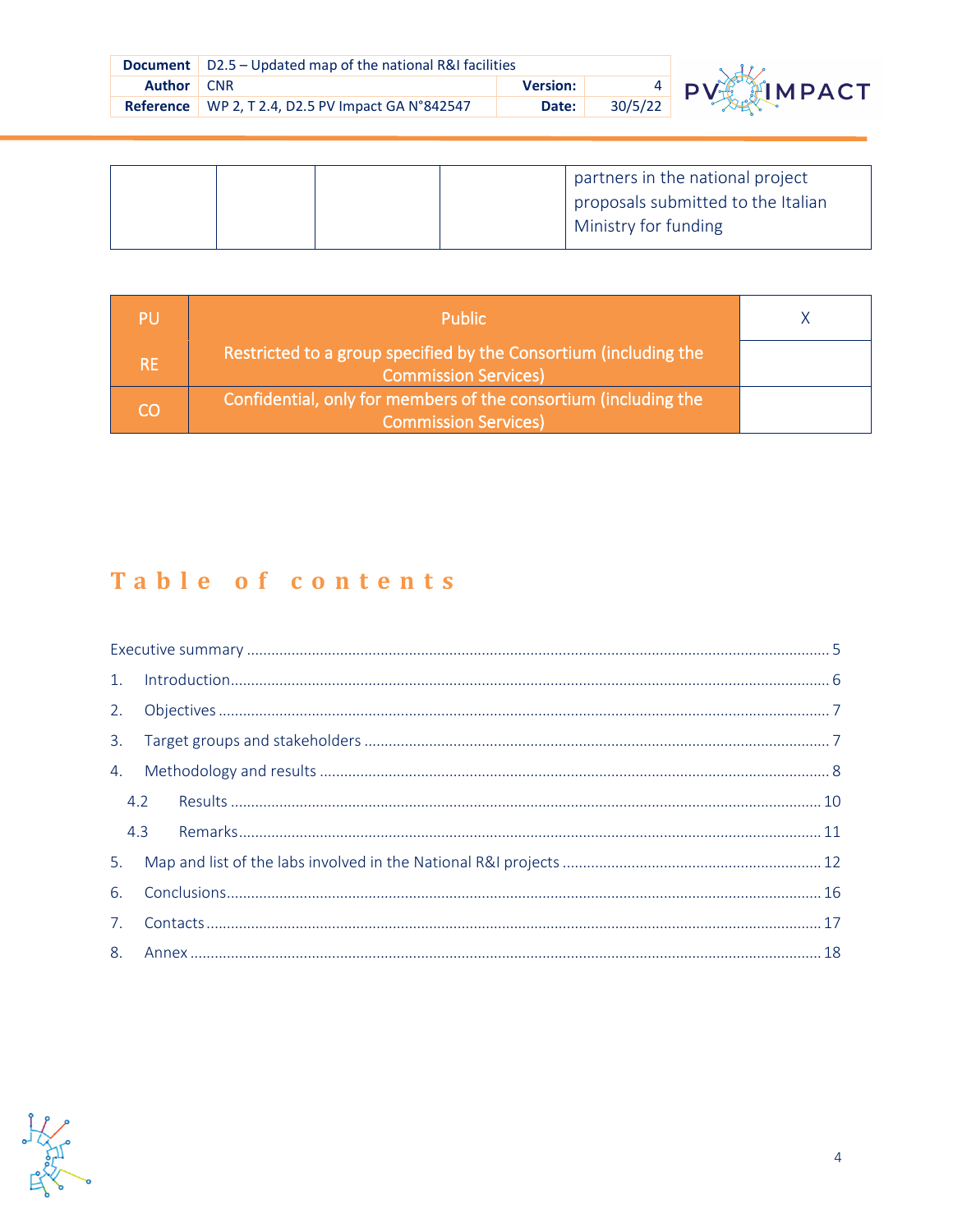|               | <b>Document</b> $\vert$ D2.5 – Updated map of the national R&I facilities |                 |         |                          |
|---------------|---------------------------------------------------------------------------|-----------------|---------|--------------------------|
| <b>Author</b> | <b>CNR</b>                                                                | <b>Version:</b> |         | $\frac{4}{22}$ PV IMPACT |
|               | <b>Reference</b> WP 2, T 2.4, D2.5 PV Impact GA N°842547                  | Date:           | 30/5/22 |                          |

|  | partners in the national project     |
|--|--------------------------------------|
|  | I proposals submitted to the Italian |
|  | Ministry for funding                 |

| PU        | <b>Public</b>                                                                                   |  |
|-----------|-------------------------------------------------------------------------------------------------|--|
| <b>RE</b> | Restricted to a group specified by the Consortium (including the<br><b>Commission Services)</b> |  |
| CO        | Confidential, only for members of the consortium (including the<br><b>Commission Services)</b>  |  |

### Table of contents

| 4.2 |  |  |
|-----|--|--|
| 4.3 |  |  |
|     |  |  |
| 6.  |  |  |
| 7.  |  |  |
|     |  |  |

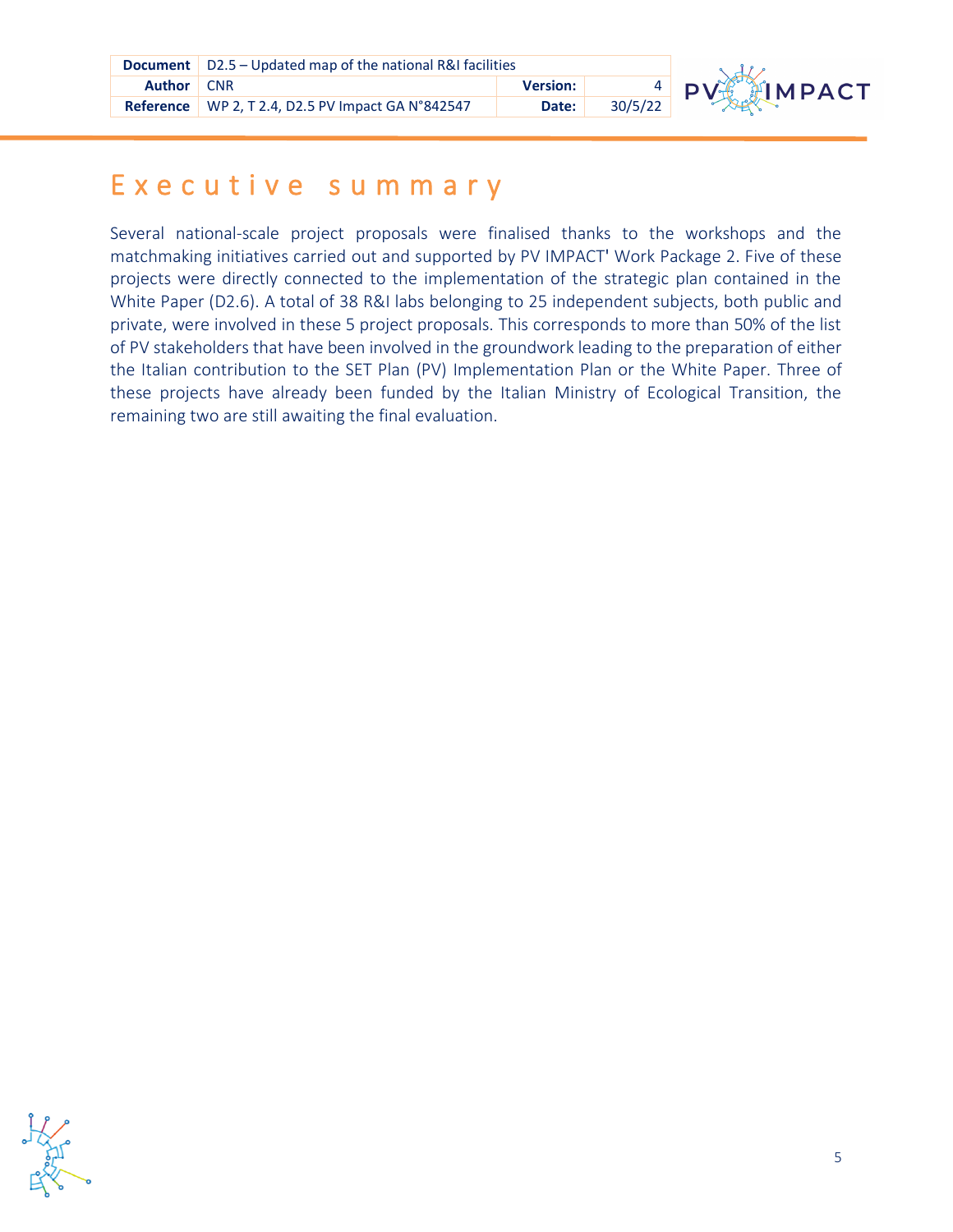|                   | <b>Document</b>   D2.5 – Updated map of the national R&I facilities |                 |         |  |
|-------------------|---------------------------------------------------------------------|-----------------|---------|--|
| <b>Author</b> CNR |                                                                     | <b>Version:</b> |         |  |
|                   | Reference   WP 2, T 2.4, D2.5 PV Impact GA N°842547                 | Date:           | 30/5/22 |  |



# <span id="page-4-0"></span>**Refere** E x e c u t i v e s u m m a r y

**R** the Italian contribution to the SET Plan (PV) Implementation Plan or the White Paper. Three of Several national-scale project proposals were finalised thanks to the workshops and the matchmaking initiatives carried out and supported by PV IMPACT' Work Package 2. Five of these projects were directly connected to the implementation of the strategic plan contained in the White Paper (D2.6). A total of 38 R&I labs belonging to 25 independent subjects, both public and private, were involved in these 5 project proposals. This corresponds to more than 50% of the list of PV stakeholders that have been involved in the groundwork leading to the preparation of either these projects have already been funded by the Italian Ministry of Ecological Transition, the remaining two are still awaiting the final evaluation.

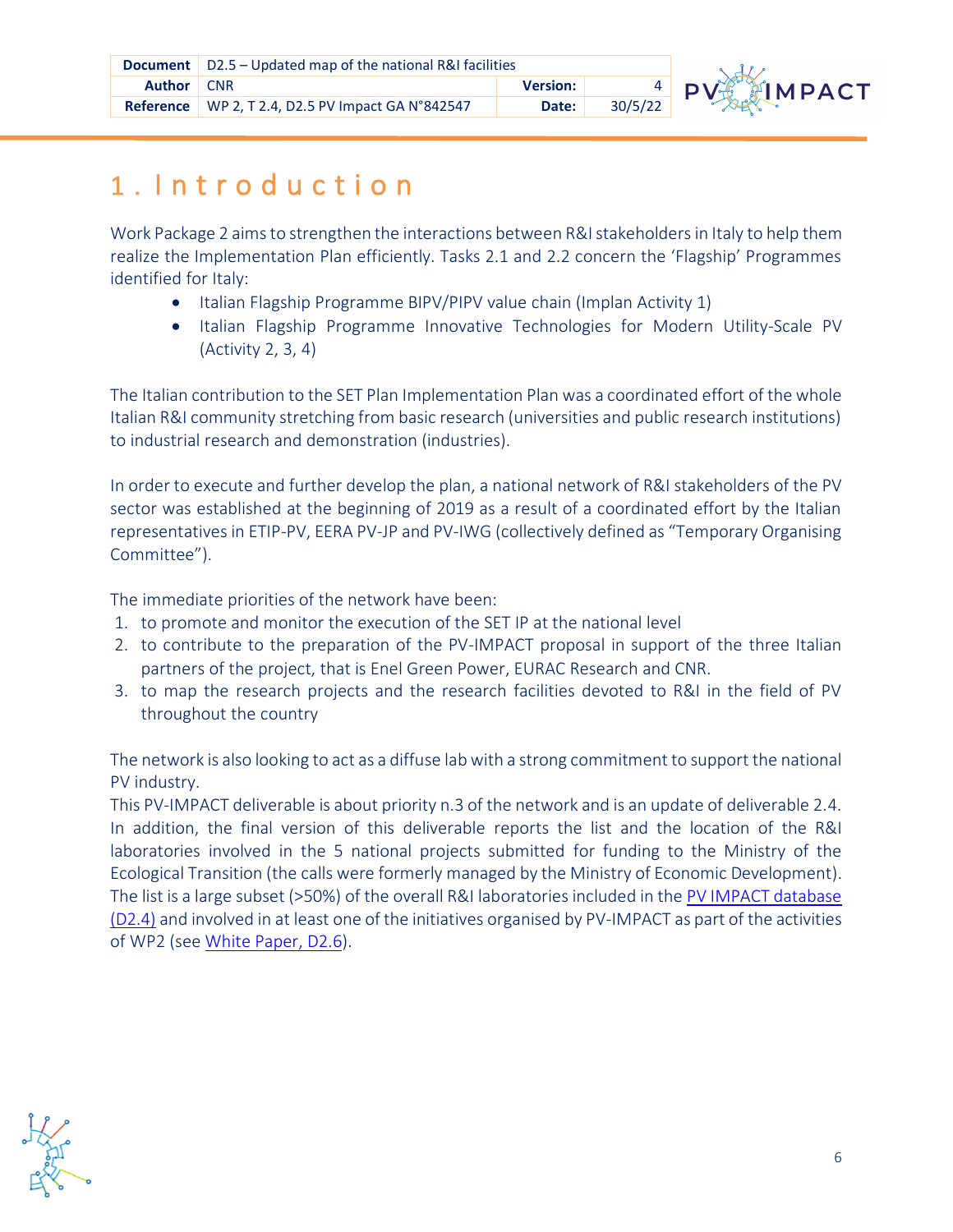

# <span id="page-5-0"></span>**Refere** 1 . I n t r o d u c t i o n

Work Package 2 aims to strengthen the interactions between R&I stakeholders in Italy to help them realize the Implementation Plan efficiently. Tasks 2.1 and 2.2 concern the 'Flagship' Programmes identified for Italy:

- Italian Flagship Programme BIPV/PIPV value chain (Implan Activity 1)
- Italian Flagship Programme Innovative Technologies for Modern Utility-Scale PV (Activity 2, 3, 4)

The Italian contribution to the SET Plan Implementation Plan was a coordinated effort of the whole Italian R&I community stretching from basic research (universities and public research institutions) to industrial research and demonstration (industries).

**Re** Committee"). In order to execute and further develop the plan, a national network of R&I stakeholders of the PV sector was established at the beginning of 2019 as a result of a coordinated effort by the Italian representatives in ETIP-PV, EERA PV-JP and PV-IWG (collectively defined as "Temporary Organising

The immediate priorities of the network have been:

- 1. to promote and monitor the execution of the SET IP at the national level
- 2. to contribute to the preparation of the PV-IMPACT proposal in support of the three Italian partners of the project, that is Enel Green Power, EURAC Research and CNR.
- **Re** throughout the country 3. to map the research projects and the research facilities devoted to R&I in the field of PV

The network is also looking to act as a diffuse lab with a strong commitment to support the national PV industry.

This PV-IMPACT deliverable is about priority n.3 of the network and is an update of deliverable 2.4. In addition, the final version of this deliverable reports the list and the location of the R&I laboratories involved in the 5 national projects submitted for funding to the Ministry of the Ecological Transition (the calls were formerly managed by the Ministry of Economic Development). The list is a large subset (>50%) of the overall R&I laboratories included in the [PV IMPACT database](https://app.powerbi.com/view?r=eyJrIjoiODRhOWQ0MWYtZWVjMS00MDFjLThmNzMtOTNmNGQ4ZWQ2MGZlIiwidCI6IjM0YzY0ZTlmLWQyN2YtNGVkZC1hMWYwLTEzOTdmMGM4NGY5NCIsImMiOjl9)  [\(D2.4\)](https://app.powerbi.com/view?r=eyJrIjoiODRhOWQ0MWYtZWVjMS00MDFjLThmNzMtOTNmNGQ4ZWQ2MGZlIiwidCI6IjM0YzY0ZTlmLWQyN2YtNGVkZC1hMWYwLTEzOTdmMGM4NGY5NCIsImMiOjl9) and involved in at least one of the initiatives organised by PV-IMPACT as part of the activities of WP2 (se[e White Paper, D2.6](https://pvimpact.eu/news-resources/reports/download/a-strategic-plan-for-research-and-innovation-to-re)).

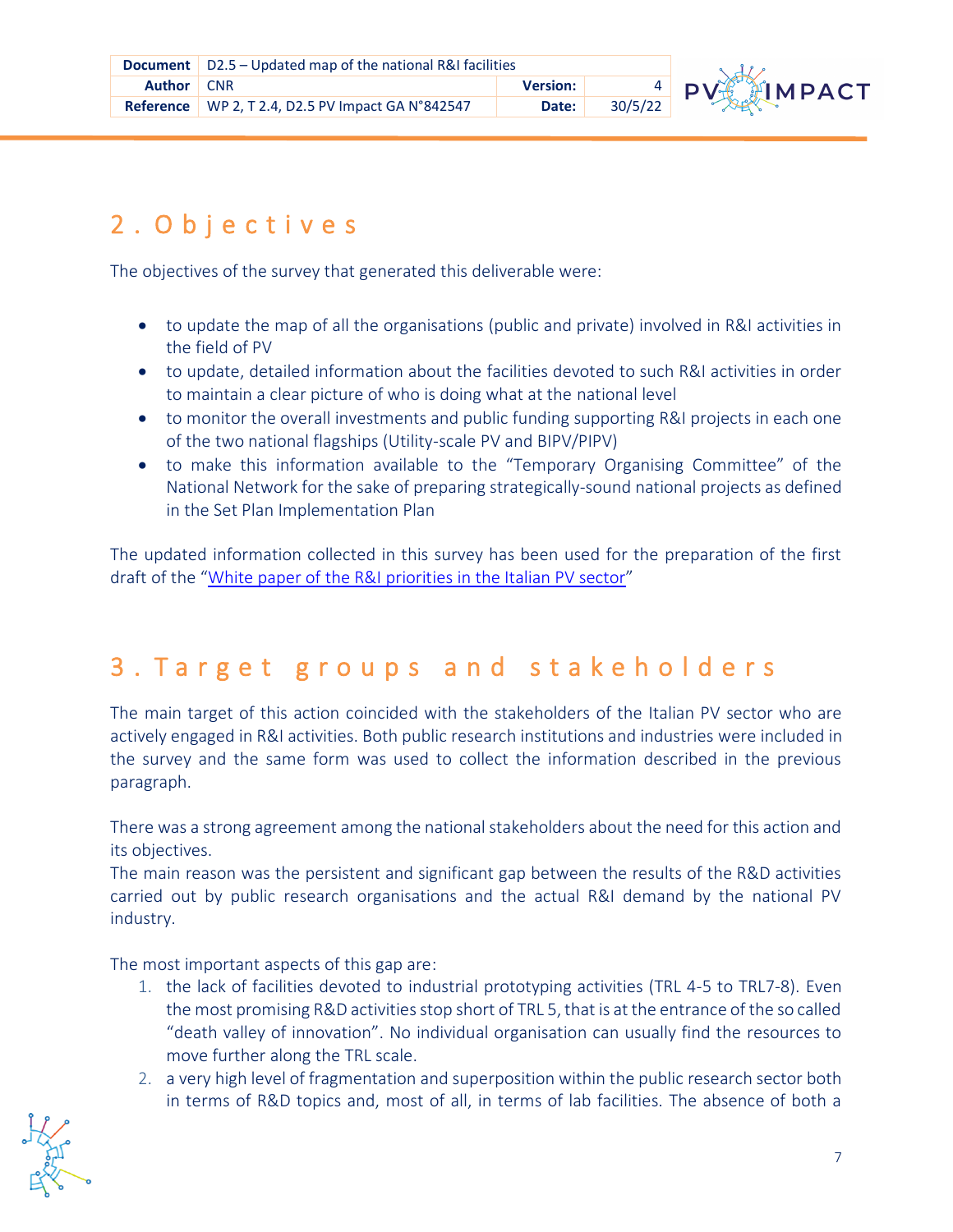

## <span id="page-6-0"></span>2 . O b j e c t i v e s

The objectives of the survey that generated this deliverable were:

- to update the map of all the organisations (public and private) involved in R&I activities in the field of PV
- **R** to update, detailed information about the facilities devoted to such R&I activities in order to maintain a clear picture of who is doing what at the national level
- to monitor the overall investments and public funding supporting R&I projects in each one of the two national flagships (Utility-scale PV and BIPV/PIPV)
- to make this information available to the "Temporary Organising Committee" of the National Network for the sake of preparing strategically-sound national projects as defined in the Set Plan Implementation Plan

**Re** The updated information collected in this survey has been used for the preparation of the first draft of the "[White paper of the R&I priorities in the Italian PV sector](https://pvimpact.eu/news-resources/reports/download/a-strategic-plan-for-research-and-innovation-to-re)"

### <span id="page-6-1"></span>3 . T a r g e t g r o u p s a n d s t a k e h o l d e r s

**Re** The main target of this action coincided with the stakeholders of the Italian PV sector who are actively engaged in R&I activities. Both public research institutions and industries were included in the survey and the same form was used to collect the information described in the previous paragraph.

There was a strong agreement among the national stakeholders about the need for this action and its objectives.

The main reason was the persistent and significant gap between the results of the R&D activities carried out by public research organisations and the actual R&I demand by the national PV industry.

The most important aspects of this gap are:

- 1. the lack of facilities devoted to industrial prototyping activities (TRL 4-5 to TRL7-8). Even the most promising R&D activities stop short of TRL 5, that is at the entrance of the so called "death valley of innovation". No individual organisation can usually find the resources to move further along the TRL scale.
- 2. a very high level of fragmentation and superposition within the public research sector both in terms of R&D topics and, most of all, in terms of lab facilities. The absence of both a

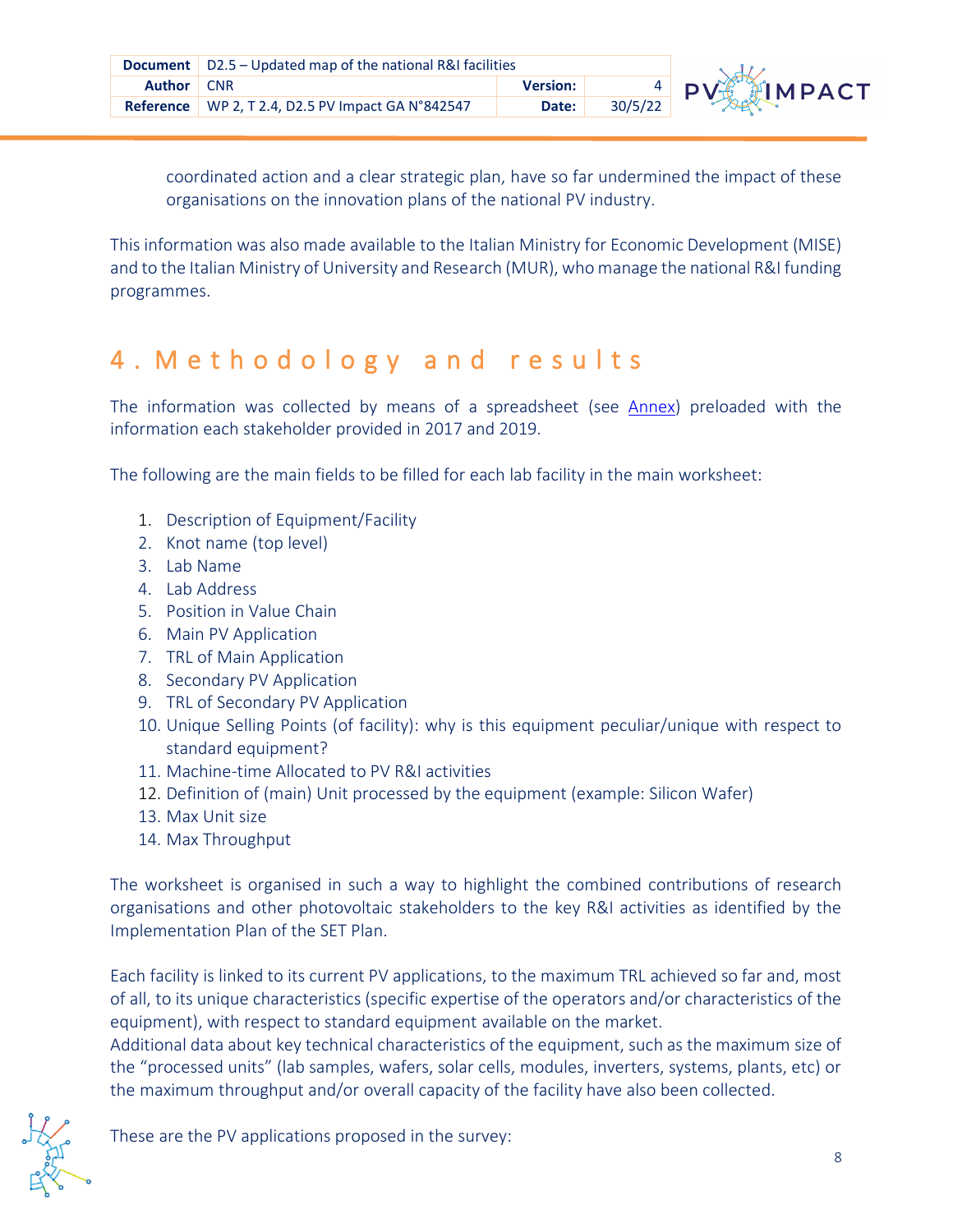

**Refere** organisations on the innovation plans of the national PV industry. coordinated action and a clear strategic plan, have so far undermined the impact of these

This information was also made available to the Italian Ministry for Economic Development (MISE) and to the Italian Ministry of University and Research (MUR), who manage the national R&I funding programmes.

## <span id="page-7-0"></span>**R** 4 . M e t h o d o l o g y a n d r e s u l t s

The information was collected by means of a spreadsheet (see [Annex\)](#page-17-0) preloaded with the information each stakeholder provided in 2017 and 2019.

The following are the main fields to be filled for each lab facility in the main worksheet:

- 1. Description of Equipment/Facility
- **Re** 2. Knot name (top level)
- 3. Lab Name
- 4. Lab Address
- 5. Position in Value Chain
- 6. Main PV Application
- 7. TRL of Main Application
- 8. Secondary PV Application
- 9. TRL of Secondary PV Application
- **Re** 10. Unique Selling Points (of facility): why is this equipment peculiar/unique with respect to standard equipment?
- 11. Machine-time Allocated to PV R&I activities
- 12. Definition of (main) Unit processed by the equipment (example: Silicon Wafer)
- 13. Max Unit size
- 14. Max Throughput

The worksheet is organised in such a way to highlight the combined contributions of research organisations and other photovoltaic stakeholders to the key R&I activities as identified by the Implementation Plan of the SET Plan.

Each facility is linked to its current PV applications, to the maximum TRL achieved so far and, most of all, to its unique characteristics (specific expertise of the operators and/or characteristics of the equipment), with respect to standard equipment available on the market.

Additional data about key technical characteristics of the equipment, such as the maximum size of the "processed units" (lab samples, wafers, solar cells, modules, inverters, systems, plants, etc) or the maximum throughput and/or overall capacity of the facility have also been collected.

These are the PV applications proposed in the survey: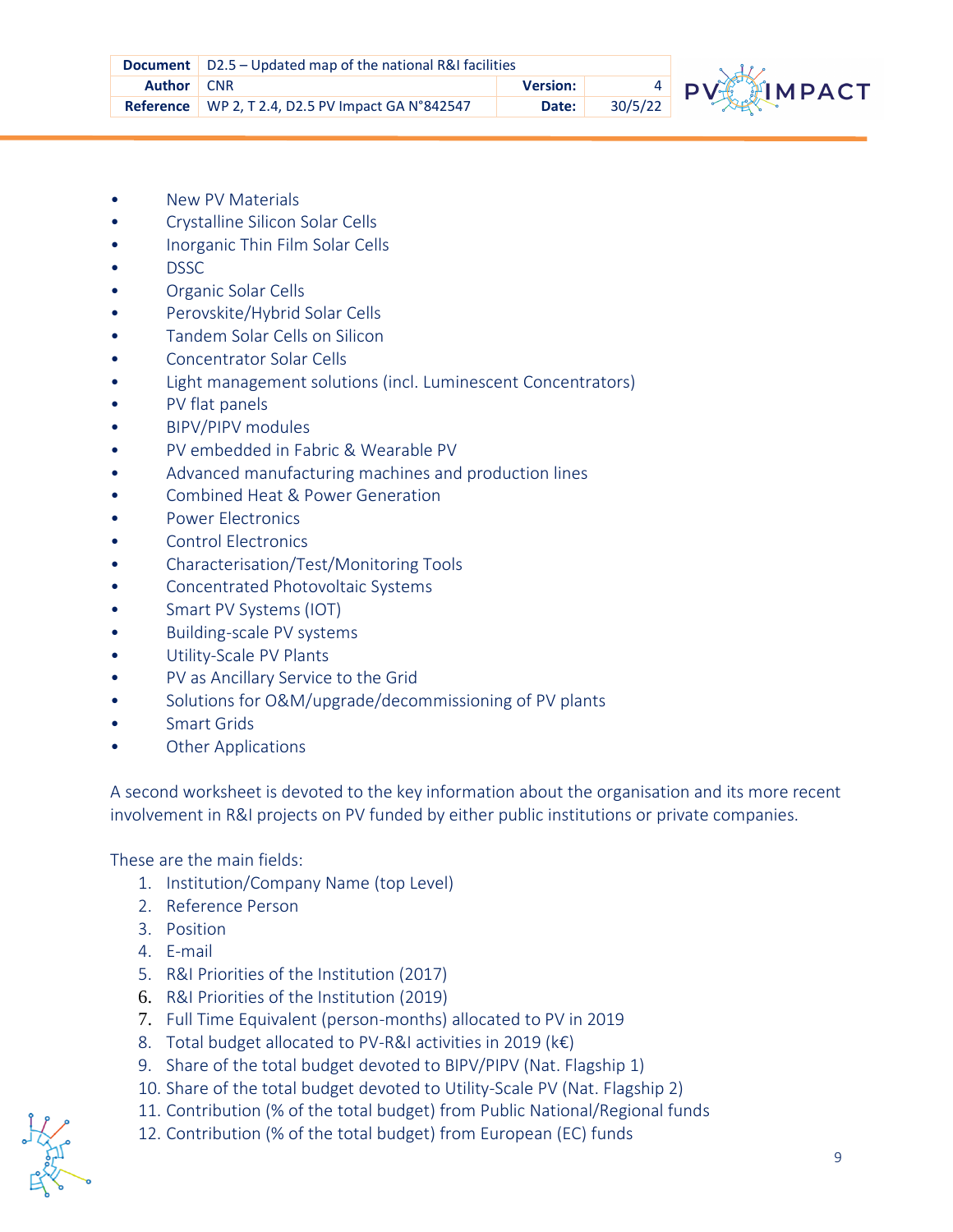

- **•** New PV Materials
- Crystalline Silicon Solar Cells
- Inorganic Thin Film Solar Cells
- DSSC
- Organic Solar Cells
- Perovskite/Hybrid Solar Cells
- Tandem Solar Cells on Silicon
- Concentrator Solar Cells
- Light management solutions (incl. Luminescent Concentrators)
- PV flat panels
- BIPV/PIPV modules
- PV embedded in Fabric & Wearable PV
- Advanced manufacturing machines and production lines
- Combined Heat & Power Generation
- Power Electronics
- **Re** Control Electronics
- Characterisation/Test/Monitoring Tools
- Concentrated Photovoltaic Systems
- Smart PV Systems (IOT)
- Building-scale PV systems
- Utility-Scale PV Plants
- PV as Ancillary Service to the Grid
- Solutions for O&M/upgrade/decommissioning of PV plants
- Smart Grids
- **Other Applications**

A second worksheet is devoted to the key information about the organisation and its more recent involvement in R&I projects on PV funded by either public institutions or private companies.

These are the main fields:

- 1. Institution/Company Name (top Level)
- 2. Reference Person
- 3. Position
- 4. E-mail
- 5. R&I Priorities of the Institution (2017)
- 6. R&I Priorities of the Institution (2019)
- 7. Full Time Equivalent (person-months) allocated to PV in 2019
- 8. Total budget allocated to PV-R&I activities in 2019 (k€)
- 9. Share of the total budget devoted to BIPV/PIPV (Nat. Flagship 1)
- 10. Share of the total budget devoted to Utility-Scale PV (Nat. Flagship 2)
- 11. Contribution (% of the total budget) from Public National/Regional funds
- 12. Contribution (% of the total budget) from European (EC) funds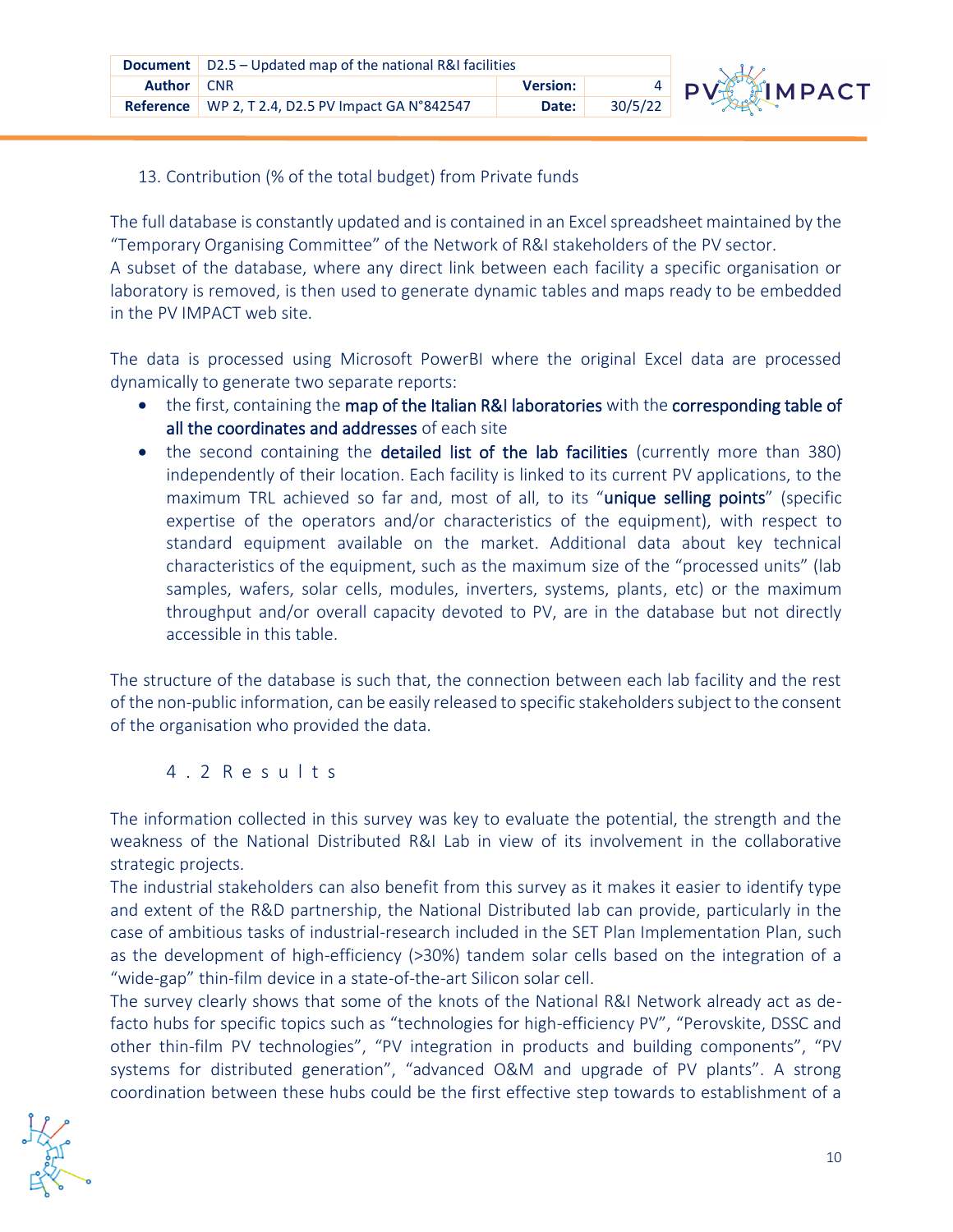

#### 13. Contribution (% of the total budget) from Private funds

The full database is constantly updated and is contained in an Excel spreadsheet maintained by the "Temporary Organising Committee" of the Network of R&I stakeholders of the PV sector.

A subset of the database, where any direct link between each facility a specific organisation or laboratory is removed, is then used to generate dynamic tables and maps ready to be embedded in the PV IMPACT web site.

**R** dynamically to generate two separate reports: The data is processed using Microsoft PowerBI where the original Excel data are processed

- the first, containing the map of the Italian R&I laboratories with the corresponding table of all the coordinates and addresses of each site
- **Re** standard equipment available on the market. Additional data about key technical • the second containing the detailed list of the lab facilities (currently more than 380) independently of their location. Each facility is linked to its current PV applications, to the maximum TRL achieved so far and, most of all, to its "unique selling points" (specific expertise of the operators and/or characteristics of the equipment), with respect to characteristics of the equipment, such as the maximum size of the "processed units" (lab samples, wafers, solar cells, modules, inverters, systems, plants, etc) or the maximum throughput and/or overall capacity devoted to PV, are in the database but not directly accessible in this table.

of the non-public information, can be easily released to specific stakeholders subject to the consent The structure of the database is such that, the connection between each lab facility and the rest of the organisation who provided the data.

#### <span id="page-9-0"></span>4.2 R e s u l t s

The information collected in this survey was key to evaluate the potential, the strength and the weakness of the National Distributed R&I Lab in view of its involvement in the collaborative strategic projects.

The industrial stakeholders can also benefit from this survey as it makes it easier to identify type and extent of the R&D partnership, the National Distributed lab can provide, particularly in the case of ambitious tasks of industrial-research included in the SET Plan Implementation Plan, such as the development of high-efficiency (>30%) tandem solar cells based on the integration of a "wide-gap" thin-film device in a state-of-the-art Silicon solar cell.

The survey clearly shows that some of the knots of the National R&I Network already act as defacto hubs for specific topics such as "technologies for high-efficiency PV", "Perovskite, DSSC and other thin-film PV technologies", "PV integration in products and building components", "PV systems for distributed generation", "advanced O&M and upgrade of PV plants". A strong coordination between these hubs could be the first effective step towards to establishment of a

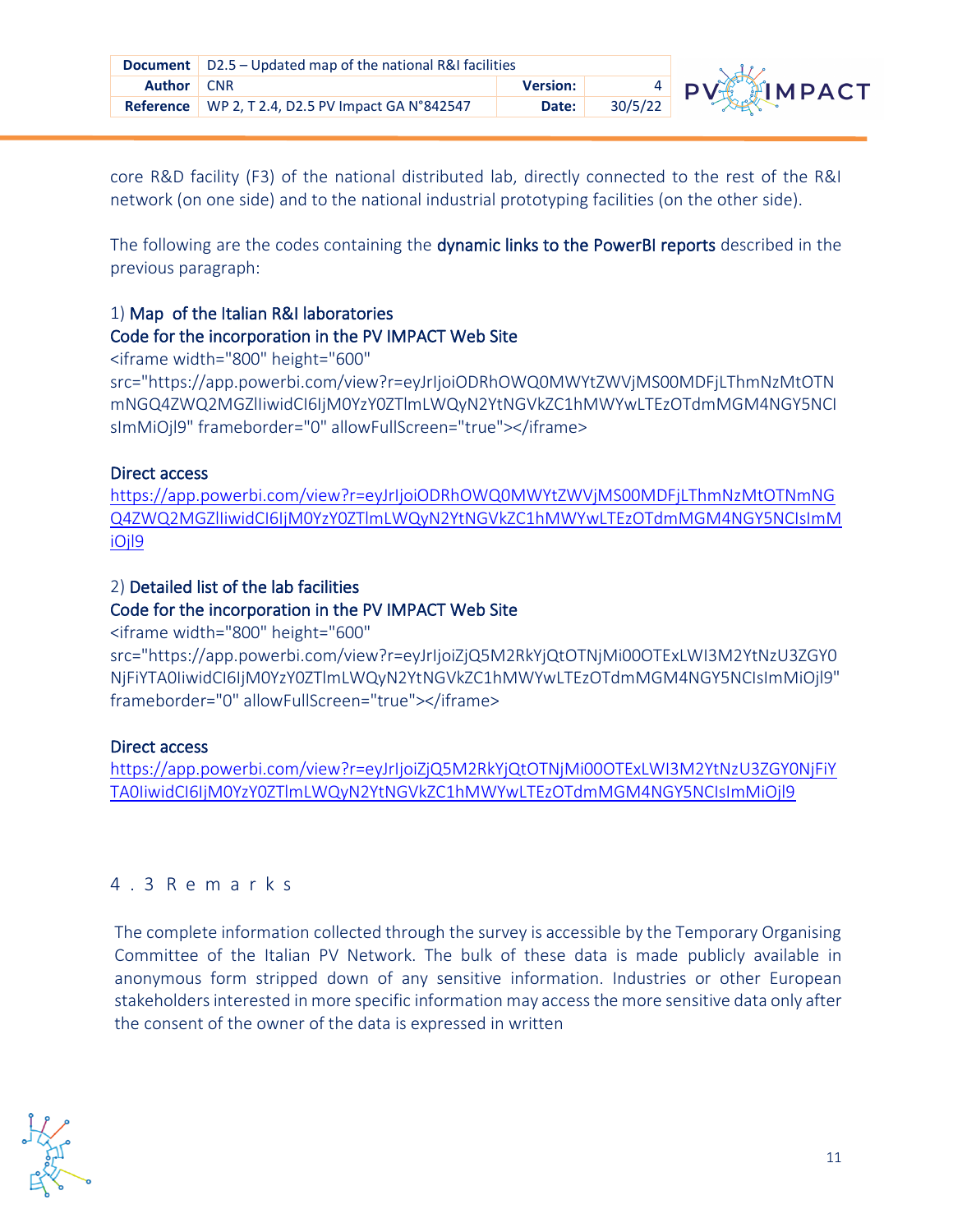

**Refere** network (on one side) and to the national industrial prototyping facilities (on the other side). core R&D facility (F3) of the national distributed lab, directly connected to the rest of the R&I

The following are the codes containing the dynamic links to the PowerBI reports described in the previous paragraph:

#### 1) Map of the Italian R&I laboratories

#### Code for the incorporation in the PV IMPACT Web Site

<iframe width="800" height="600"

**R** src="https://app.powerbi.com/view?r=eyJrIjoiODRhOWQ0MWYtZWVjMS00MDFjLThmNzMtOTN mNGQ4ZWQ2MGZlIiwidCI6IjM0YzY0ZTlmLWQyN2YtNGVkZC1hMWYwLTEzOTdmMGM4NGY5NCI sImMiOjl9" frameborder="0" allowFullScreen="true"></iframe>

#### Direct access

[https://app.powerbi.com/view?r=eyJrIjoiODRhOWQ0MWYtZWVjMS00MDFjLThmNzMtOTNmNG](https://app.powerbi.com/view?r=eyJrIjoiODRhOWQ0MWYtZWVjMS00MDFjLThmNzMtOTNmNGQ4ZWQ2MGZlIiwidCI6IjM0YzY0ZTlmLWQyN2YtNGVkZC1hMWYwLTEzOTdmMGM4NGY5NCIsImMiOjl9) [Q4ZWQ2MGZlIiwidCI6IjM0YzY0ZTlmLWQyN2YtNGVkZC1hMWYwLTEzOTdmMGM4NGY5NCIsImM](https://app.powerbi.com/view?r=eyJrIjoiODRhOWQ0MWYtZWVjMS00MDFjLThmNzMtOTNmNGQ4ZWQ2MGZlIiwidCI6IjM0YzY0ZTlmLWQyN2YtNGVkZC1hMWYwLTEzOTdmMGM4NGY5NCIsImMiOjl9) iOil<sub>9</sub>

#### 2) Detailed list of the lab facilities

#### Code for the incorporation in the PV IMPACT Web Site

<iframe width="800" height="600"

**Re** frameborder="0" allowFullScreen="true"></iframe> src="https://app.powerbi.com/view?r=eyJrIjoiZjQ5M2RkYjQtOTNjMi00OTExLWI3M2YtNzU3ZGY0 NjFiYTA0IiwidCI6IjM0YzY0ZTlmLWQyN2YtNGVkZC1hMWYwLTEzOTdmMGM4NGY5NCIsImMiOjl9"

#### Direct access

[https://app.powerbi.com/view?r=eyJrIjoiZjQ5M2RkYjQtOTNjMi00OTExLWI3M2YtNzU3ZGY0NjFiY](https://app.powerbi.com/view?r=eyJrIjoiZjQ5M2RkYjQtOTNjMi00OTExLWI3M2YtNzU3ZGY0NjFiYTA0IiwidCI6IjM0YzY0ZTlmLWQyN2YtNGVkZC1hMWYwLTEzOTdmMGM4NGY5NCIsImMiOjl9) [TA0IiwidCI6IjM0YzY0ZTlmLWQyN2YtNGVkZC1hMWYwLTEzOTdmMGM4NGY5NCIsImMiOjl9](https://app.powerbi.com/view?r=eyJrIjoiZjQ5M2RkYjQtOTNjMi00OTExLWI3M2YtNzU3ZGY0NjFiYTA0IiwidCI6IjM0YzY0ZTlmLWQyN2YtNGVkZC1hMWYwLTEzOTdmMGM4NGY5NCIsImMiOjl9)

#### <span id="page-10-0"></span>4.3 R e m a r k s

The complete information collected through the survey is accessible by the Temporary Organising Committee of the Italian PV Network. The bulk of these data is made publicly available in anonymous form stripped down of any sensitive information. Industries or other European stakeholders interested in more specific information may access the more sensitive data only after the consent of the owner of the data is expressed in written

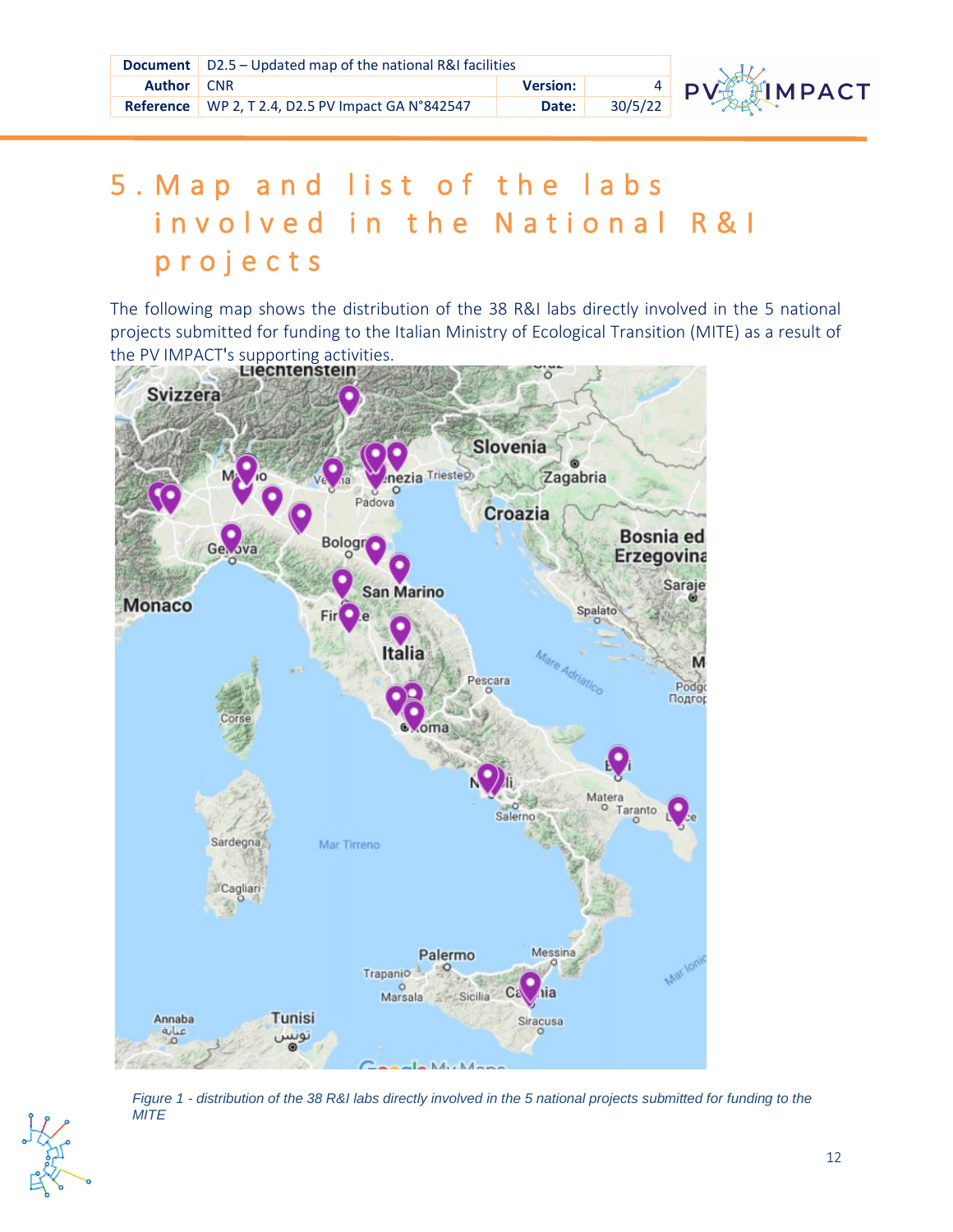|               | <b>Document</b> $\vert$ D2.5 – Updated map of the national R&I facilities |                 |         |        |
|---------------|---------------------------------------------------------------------------|-----------------|---------|--------|
| <b>Author</b> | <b>CNR</b>                                                                | <b>Version:</b> |         | $4$ DV |
|               | Reference   WP 2, T 2.4, D2.5 PV Impact GA N°842547                       | Date:           | 30/5/22 |        |



# <span id="page-11-0"></span>5 . M a p a n d list of the labs i n v o l v e d i n t h e N a t i o n a l R & I p r o j e c t s

The following map shows the distribution of the 38 R&I labs directly involved in the 5 national projects submitted for funding to the Italian Ministry of Ecological Transition (MITE) as a result of the PV IMPACT's supporting activities.



*Figure 1 - distribution of the 38 R&I labs directly involved in the 5 national projects submitted for funding to the MITE*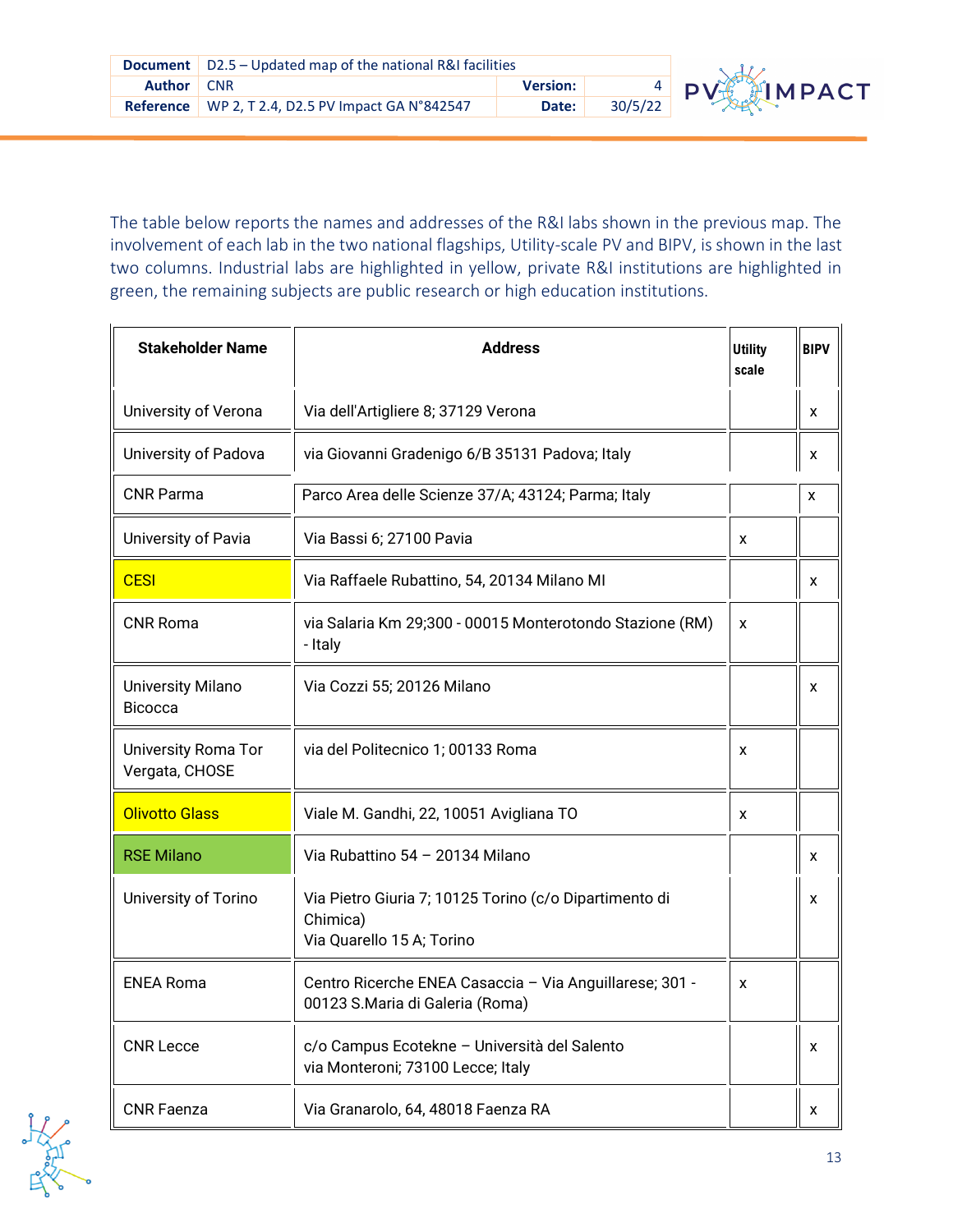

The table below reports the names and addresses of the R&I labs shown in the previous map. The involvement of each lab in the two national flagships, Utility-scale PV and BIPV, is shown in the last two columns. Industrial labs are highlighted in yellow, private R&I institutions are highlighted in green, the remaining subjects are public research or high education institutions.

| <b>Stakeholder Name</b>                      | <b>Address</b>                                                                                  | <b>Utility</b><br>scale | <b>BIPV</b> |
|----------------------------------------------|-------------------------------------------------------------------------------------------------|-------------------------|-------------|
| University of Verona                         | Via dell'Artigliere 8; 37129 Verona                                                             |                         | x           |
| University of Padova                         | via Giovanni Gradenigo 6/B 35131 Padova; Italy                                                  |                         | X           |
| <b>CNR Parma</b>                             | Parco Area delle Scienze 37/A; 43124; Parma; Italy                                              |                         | x           |
| University of Pavia                          | Via Bassi 6; 27100 Pavia                                                                        | X                       |             |
| <b>CESI</b>                                  | Via Raffaele Rubattino, 54, 20134 Milano MI                                                     |                         | x           |
| <b>CNR Roma</b>                              | via Salaria Km 29;300 - 00015 Monterotondo Stazione (RM)<br>- Italy                             | X                       |             |
| <b>University Milano</b><br><b>Bicocca</b>   | Via Cozzi 55; 20126 Milano                                                                      |                         | X           |
| <b>University Roma Tor</b><br>Vergata, CHOSE | via del Politecnico 1; 00133 Roma                                                               | X                       |             |
| <b>Olivotto Glass</b>                        | Viale M. Gandhi, 22, 10051 Avigliana TO                                                         | X                       |             |
| <b>RSE Milano</b>                            | Via Rubattino 54 - 20134 Milano                                                                 |                         | x           |
| University of Torino                         | Via Pietro Giuria 7; 10125 Torino (c/o Dipartimento di<br>Chimica)<br>Via Quarello 15 A; Torino |                         | x           |
| <b>ENEA Roma</b>                             | Centro Ricerche ENEA Casaccia - Via Anguillarese; 301 -<br>00123 S.Maria di Galeria (Roma)      | X                       |             |
| <b>CNR Lecce</b>                             | c/o Campus Ecotekne - Università del Salento<br>via Monteroni; 73100 Lecce; Italy               |                         | x           |
| <b>CNR Faenza</b>                            | Via Granarolo, 64, 48018 Faenza RA                                                              |                         | x           |

Artists of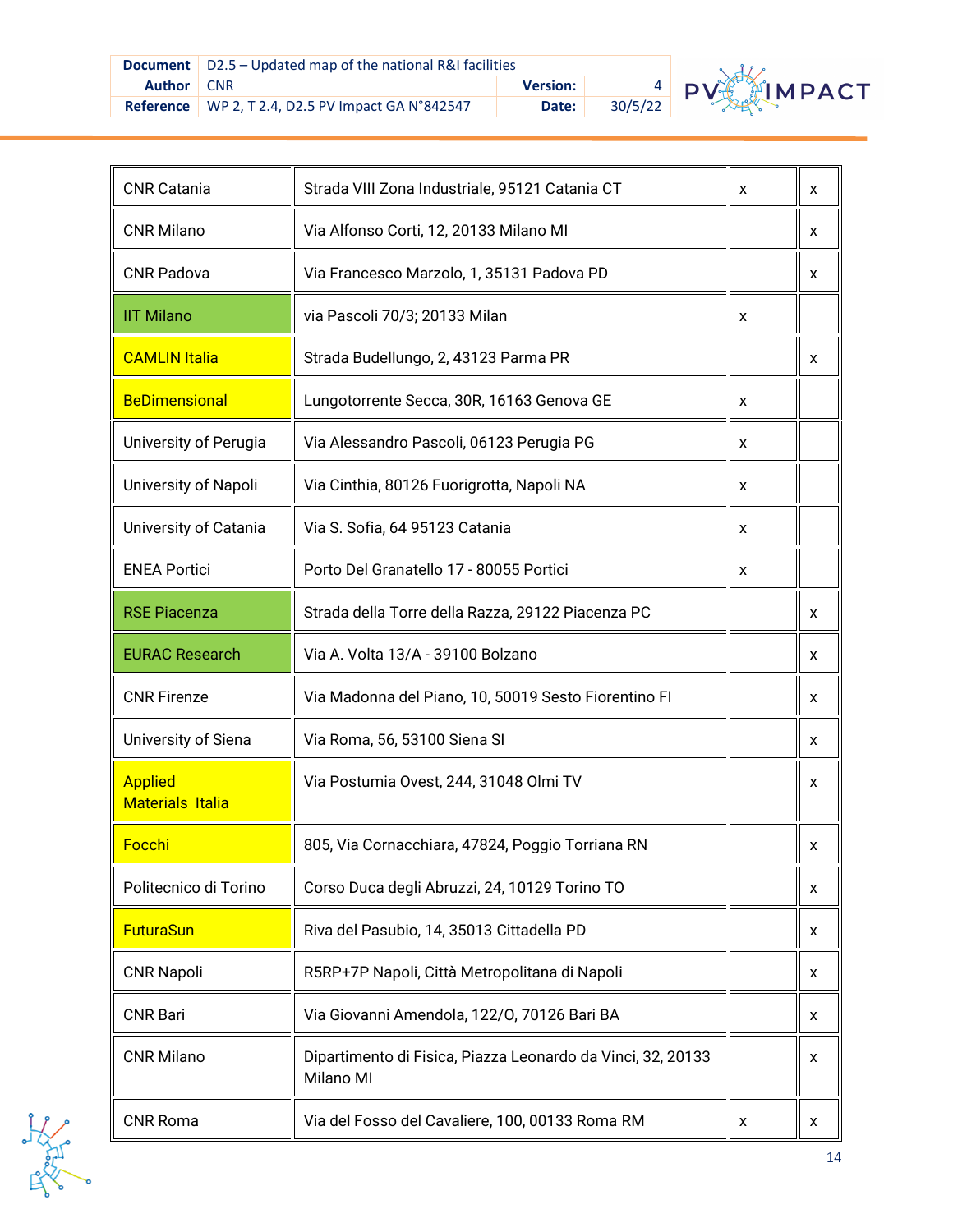

| <b>CNR Catania</b>                        | Strada VIII Zona Industriale, 95121 Catania CT                           | x | x |
|-------------------------------------------|--------------------------------------------------------------------------|---|---|
| <b>CNR Milano</b>                         | Via Alfonso Corti, 12, 20133 Milano MI                                   |   | x |
| <b>CNR Padova</b>                         | Via Francesco Marzolo, 1, 35131 Padova PD                                |   | x |
| <b>IIT Milano</b>                         | via Pascoli 70/3; 20133 Milan                                            | x |   |
| <b>CAMLIN Italia</b>                      | Strada Budellungo, 2, 43123 Parma PR                                     |   | x |
| <b>BeDimensional</b>                      | Lungotorrente Secca, 30R, 16163 Genova GE                                | x |   |
| University of Perugia                     | Via Alessandro Pascoli, 06123 Perugia PG                                 | x |   |
| University of Napoli                      | Via Cinthia, 80126 Fuorigrotta, Napoli NA                                | x |   |
| University of Catania                     | Via S. Sofia, 64 95123 Catania                                           | X |   |
| <b>ENEA Portici</b>                       | Porto Del Granatello 17 - 80055 Portici                                  | x |   |
| <b>RSE Piacenza</b>                       | Strada della Torre della Razza, 29122 Piacenza PC                        |   | x |
| <b>EURAC Research</b>                     | Via A. Volta 13/A - 39100 Bolzano                                        |   | x |
| <b>CNR Firenze</b>                        | Via Madonna del Piano, 10, 50019 Sesto Fiorentino FI                     |   | x |
| University of Siena                       | Via Roma, 56, 53100 Siena SI                                             |   | x |
| <b>Applied</b><br><b>Materials Italia</b> | Via Postumia Ovest, 244, 31048 Olmi TV                                   |   | x |
| Focchi                                    | 805, Via Cornacchiara, 47824, Poggio Torriana RN                         |   | X |
| Politecnico di Torino                     | Corso Duca degli Abruzzi, 24, 10129 Torino TO                            |   | x |
| <b>FuturaSun</b>                          | Riva del Pasubio, 14, 35013 Cittadella PD                                |   | x |
| <b>CNR Napoli</b>                         | R5RP+7P Napoli, Città Metropolitana di Napoli                            |   | x |
| <b>CNR Bari</b>                           | Via Giovanni Amendola, 122/0, 70126 Bari BA                              |   | x |
| <b>CNR Milano</b>                         | Dipartimento di Fisica, Piazza Leonardo da Vinci, 32, 20133<br>Milano MI |   | x |
| <b>CNR Roma</b>                           | Via del Fosso del Cavaliere, 100, 00133 Roma RM                          | x | X |

Antiche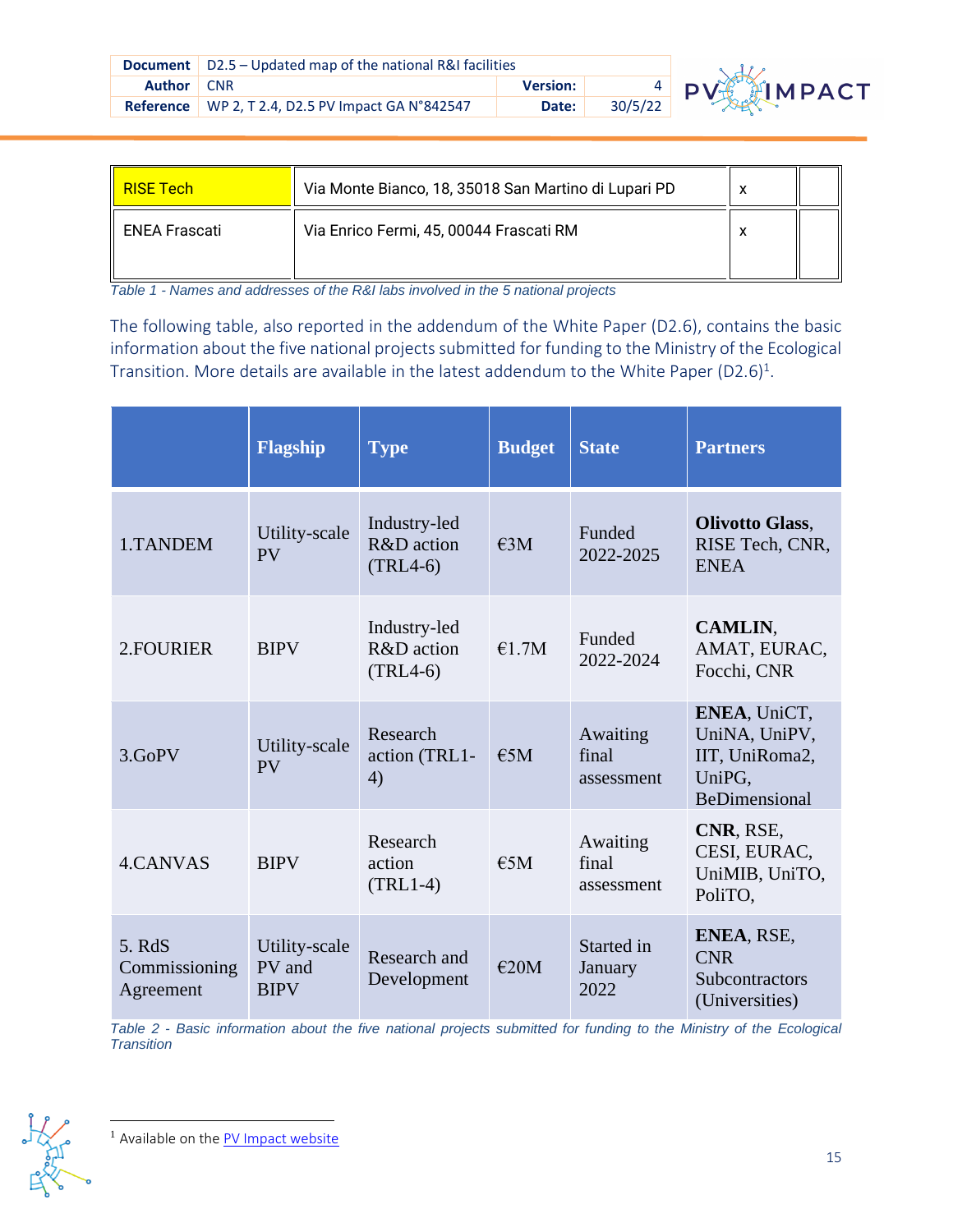|                   | <b>Document</b>   D2.5 – Updated map of the national R&I facilities |                 |         |    |
|-------------------|---------------------------------------------------------------------|-----------------|---------|----|
| <b>Author</b> CNR |                                                                     | <b>Version:</b> |         | PV |
|                   | Reference   WP 2, T 2.4, D2.5 PV Impact GA N°842547                 | Date:           | 30/5/22 |    |



| <b>RISE Tech</b>     | Via Monte Bianco, 18, 35018 San Martino di Lupari PD |  |
|----------------------|------------------------------------------------------|--|
| <b>ENEA Frascati</b> | Via Enrico Fermi, 45, 00044 Frascati RM              |  |

*Table 1 - Names and addresses of the R&I labs involved in the 5 national projects*

Transition. More details are available in the latest addendum to the White Paper (D2.6)<sup>1</sup>. The following table, also reported in the addendum of the White Paper (D2.6), contains the basic information about the five national projects submitted for funding to the Ministry of the Ecological

|                                      | Flagship                               | <b>Type</b>                              | <b>Budget</b> | <b>State</b>                    | <b>Partners</b>                                                                   |
|--------------------------------------|----------------------------------------|------------------------------------------|---------------|---------------------------------|-----------------------------------------------------------------------------------|
| 1.TANDEM                             | Utility-scale<br>PV                    | Industry-led<br>R&D action<br>$(TRL4-6)$ | €3M           | Funded<br>2022-2025             | <b>Olivotto Glass,</b><br>RISE Tech, CNR,<br><b>ENEA</b>                          |
| 2. FOURIER                           | <b>BIPV</b>                            | Industry-led<br>R&D action<br>$(TRL4-6)$ | €1.7M         | Funded<br>2022-2024             | CAMLIN,<br>AMAT, EURAC,<br>Focchi, CNR                                            |
| 3.GoPV                               | Utility-scale<br><b>PV</b>             | Research<br>action (TRL1-<br>4)          | E5M           | Awaiting<br>final<br>assessment | ENEA, UniCT,<br>UniNA, UniPV,<br>IIT, UniRoma2,<br>UniPG,<br><b>BeDimensional</b> |
| 4.CANVAS                             | <b>BIPV</b>                            | Research<br>action<br>$(TRL1-4)$         | $\epsilon$ 5M | Awaiting<br>final<br>assessment | CNR, RSE,<br>CESI, EURAC,<br>UniMIB, UniTO,<br>PoliTO.                            |
| 5. RdS<br>Commissioning<br>Agreement | Utility-scale<br>PV and<br><b>BIPV</b> | Research and<br>Development              | E20M          | Started in<br>January<br>2022   | ENEA, RSE,<br><b>CNR</b><br>Subcontractors<br>(Universities)                      |

*Table 2 - Basic information about the five national projects submitted for funding to the Ministry of the Ecological Transition*

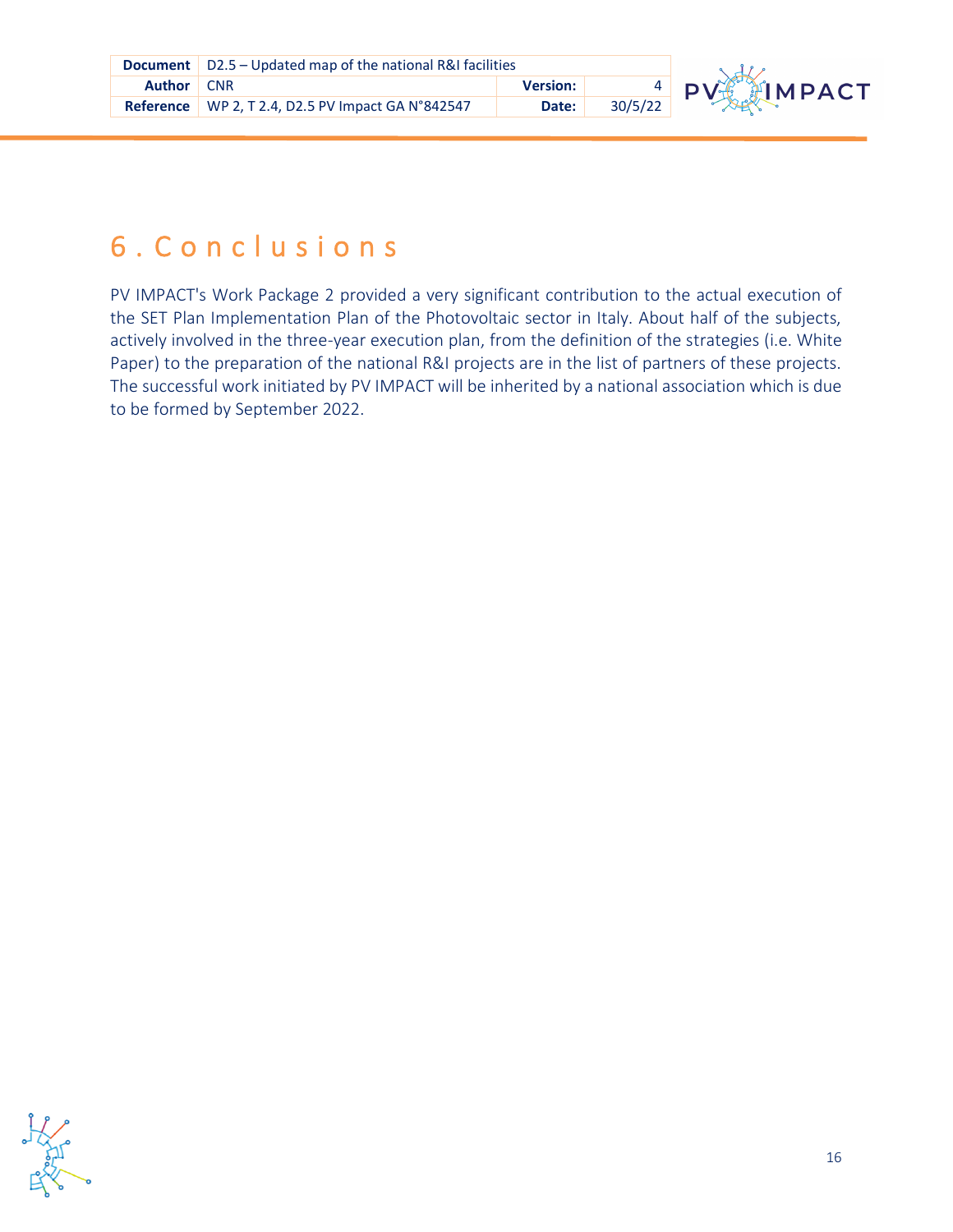

## <span id="page-15-0"></span>6 . C o n c l u s i o n s

Paper) to the preparation of the national R&I projects are in the list of partners of these projects. PV IMPACT's Work Package 2 provided a very significant contribution to the actual execution of the SET Plan Implementation Plan of the Photovoltaic sector in Italy. About half of the subjects, actively involved in the three-year execution plan, from the definition of the strategies (i.e. White The successful work initiated by PV IMPACT will be inherited by a national association which is due to be formed by September 2022.

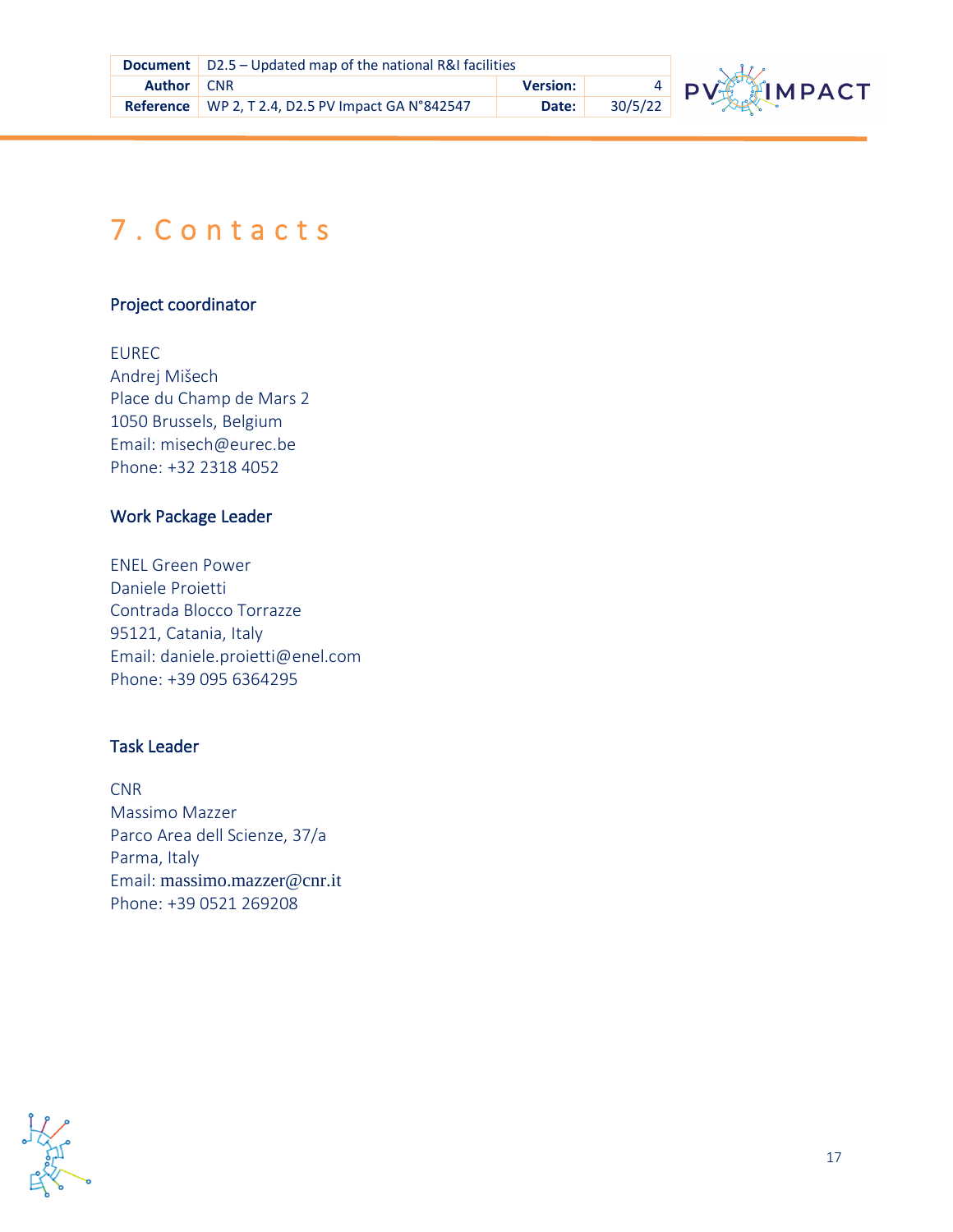

# <span id="page-16-0"></span>7 . C o n t a c t s

#### Project coordinator

**R** Andrej Mišech EUREC Place du Champ de Mars 2 1050 Brussels, Belgium Email: misech@eurec.be Phone: +32 2318 4052

#### Work Package Leader

ENEL Green Power Daniele Proietti Contrada Blocco Torrazze 95121, Catania, Italy Email: daniele.proietti@enel.com Phone: +39 095 6364295

#### Task Leader

CNR Massimo Mazzer Parco Area dell Scienze, 37/a Parma, Italy Email: [massimo.mazzer@cnr.it](mailto:massimo.mazzer@cnr.it) Phone: +39 0521 269208

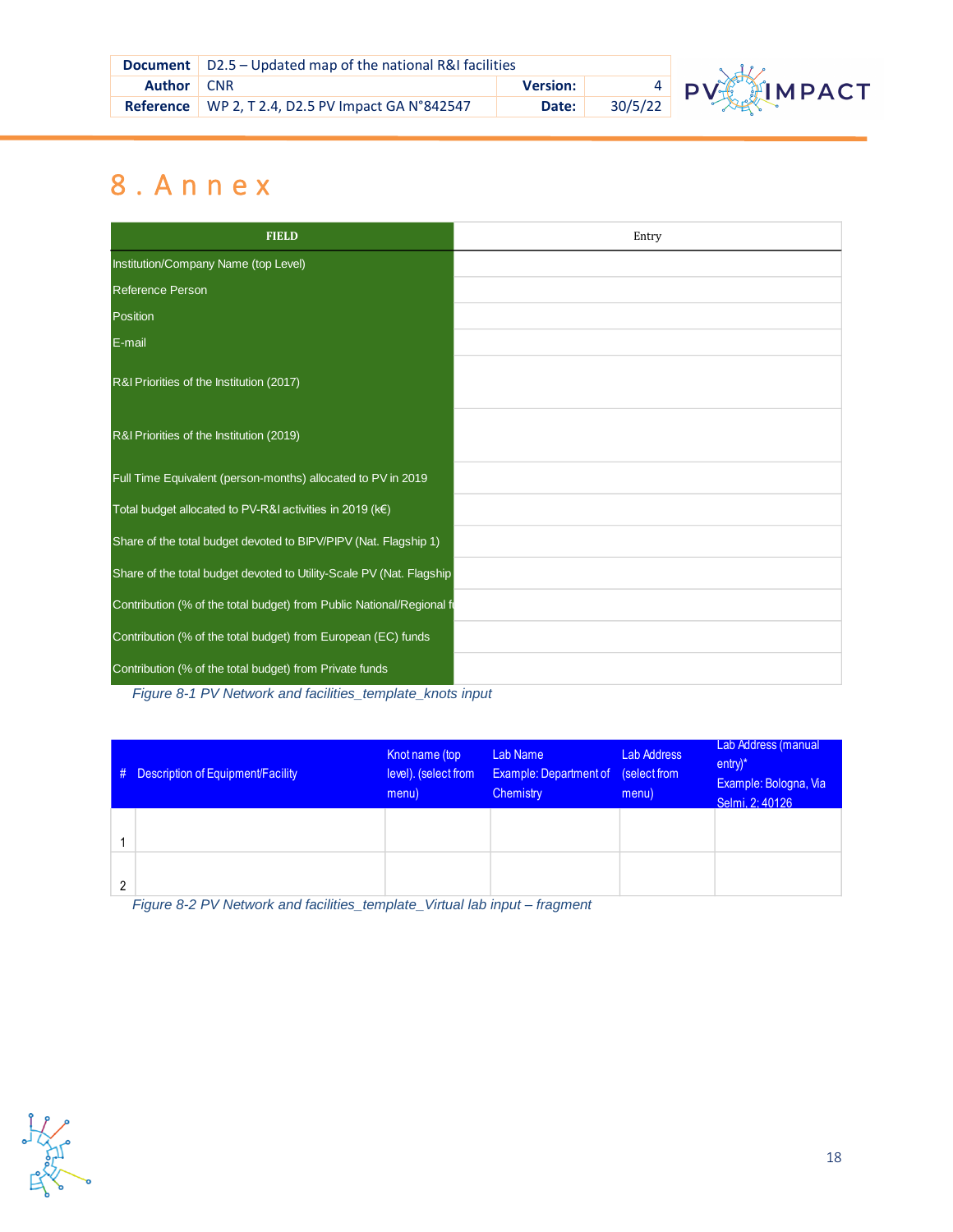|                   | <b>Document</b>   D2.5 – Updated map of the national R&I facilities |                 |         |  |
|-------------------|---------------------------------------------------------------------|-----------------|---------|--|
| <b>Author</b> CNR |                                                                     | <b>Version:</b> |         |  |
|                   | <b>Reference</b> WP 2, T 2.4, D2.5 PV Impact GA N°842547            | Date:           | 30/5/22 |  |



# <span id="page-17-0"></span>**Refere** 8 . A n n e x

| <b>FIELD</b>                                                          | Entry |
|-----------------------------------------------------------------------|-------|
| Institution/Company Name (top Level)                                  |       |
| <b>Reference Person</b>                                               |       |
| Position                                                              |       |
| E-mail                                                                |       |
| R&I Priorities of the Institution (2017)                              |       |
| R&I Priorities of the Institution (2019)                              |       |
| Full Time Equivalent (person-months) allocated to PV in 2019          |       |
| Total budget allocated to PV-R&I activities in 2019 (k€)              |       |
| Share of the total budget devoted to BIPV/PIPV (Nat. Flagship 1)      |       |
| Share of the total budget devoted to Utility-Scale PV (Nat. Flagship  |       |
| Contribution (% of the total budget) from Public National/Regional fi |       |
| Contribution (% of the total budget) from European (EC) funds         |       |
| Contribution (% of the total budget) from Private funds               |       |

*Figure 8-1 PV Network and facilities\_template\_knots input*

| # | Description of Equipment/Facility | Knot name (top<br>level). (select from<br>menu) | Lab Name<br><b>Example: Department of</b> (select from<br>Chemistry | <b>Lab Address</b><br>menu) | Lab Address (manual<br>$entry)^*$<br>Example: Bologna, Via<br>Selmi, 2:40126 |
|---|-----------------------------------|-------------------------------------------------|---------------------------------------------------------------------|-----------------------------|------------------------------------------------------------------------------|
|   |                                   |                                                 |                                                                     |                             |                                                                              |
| 2 |                                   |                                                 |                                                                     |                             |                                                                              |

*Figure 8-2 PV Network and facilities\_template\_Virtual lab input – fragment*

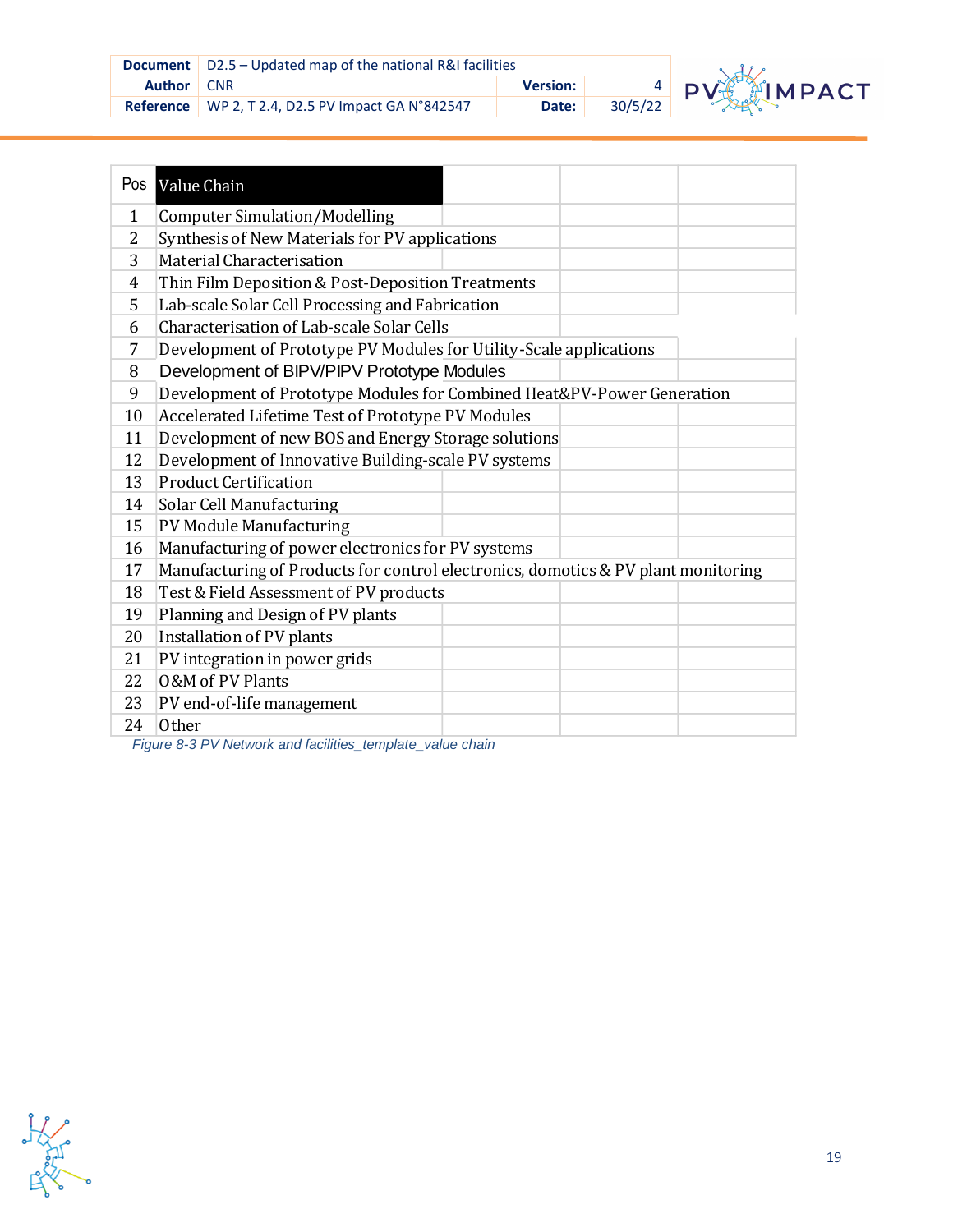|                   | <b>Document</b>   D2.5 – Updated map of the national R&I facilities |                 |         |
|-------------------|---------------------------------------------------------------------|-----------------|---------|
| <b>Author</b> CNR |                                                                     | <b>Version:</b> |         |
|                   | Reference   WP 2, T 2.4, D2.5 PV Impact GA N°842547                 | Date:           | 30/5/22 |



| Pos          | Value Chain                                                                       |  |
|--------------|-----------------------------------------------------------------------------------|--|
| $\mathbf{1}$ | <b>Computer Simulation/Modelling</b>                                              |  |
| 2            | Synthesis of New Materials for PV applications                                    |  |
| 3            | Material Characterisation                                                         |  |
| 4            | Thin Film Deposition & Post-Deposition Treatments                                 |  |
| 5            | Lab-scale Solar Cell Processing and Fabrication                                   |  |
| 6            | Characterisation of Lab-scale Solar Cells                                         |  |
| 7            | Development of Prototype PV Modules for Utility-Scale applications                |  |
| 8            | Development of BIPV/PIPV Prototype Modules                                        |  |
| 9            | Development of Prototype Modules for Combined Heat&PV-Power Generation            |  |
| 10           | Accelerated Lifetime Test of Prototype PV Modules                                 |  |
| 11           | Development of new BOS and Energy Storage solutions                               |  |
| 12           | Development of Innovative Building-scale PV systems                               |  |
| 13           | <b>Product Certification</b>                                                      |  |
| 14           | <b>Solar Cell Manufacturing</b>                                                   |  |
| 15           | <b>PV Module Manufacturing</b>                                                    |  |
| 16           | Manufacturing of power electronics for PV systems                                 |  |
| 17           | Manufacturing of Products for control electronics, domotics & PV plant monitoring |  |
| 18           | Test & Field Assessment of PV products                                            |  |
| 19           | Planning and Design of PV plants                                                  |  |
| 20           | Installation of PV plants                                                         |  |
| 21           | PV integration in power grids                                                     |  |
| 22           | 0&M of PV Plants                                                                  |  |
| 23           | PV end-of-life management                                                         |  |
| 24           | <b>Other</b>                                                                      |  |

*Figure 8-3 PV Network and facilities\_template\_value chain*